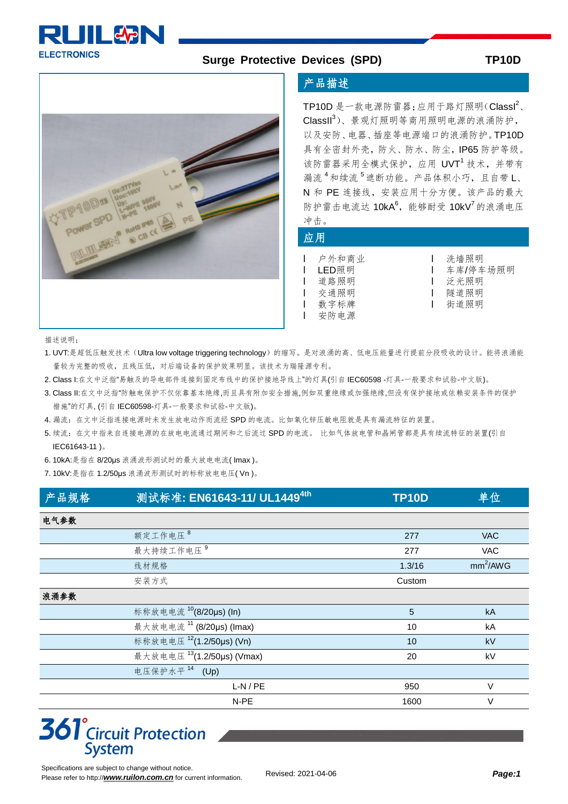

## **Surge Protective Devices** (SPD) **TP10D**



**产品描述**

TP10D 是一款电源防雷器;应用于路灯照明(ClassI<sup>2</sup>、  $ClassII<sup>3</sup>$ )、景观灯照明等商用照明电源的浪涌防护, 以及安防、电器、插座等电源端口的浪涌防护。TP10D 具有全密封外壳,防火、防水、防尘,IP65 防护等级。 该防雷器采用全模式保护,应用 UVT<sup>1</sup> 技术,并带有 漏流<sup>4</sup>和续流<sup>5</sup>遮断功能。产品体积小巧,且自带L、 N 和 PE 连接线,安装应用十分方便。该产品的最大 防护雷击电流达 10kA<sup>6</sup>, 能够耐受 10kV<sup>7</sup>的浪涌电压

### 冲击。 **应用**

| 应知                                                                                      |                                          |
|-----------------------------------------------------------------------------------------|------------------------------------------|
| 户外和商业<br>I LED照明<br>  道路照明<br>交通照明<br>$\mathbf{L}$<br>数字标牌<br>$\mathbf{I}$<br>安防电源<br>п | 洗墙照明<br>车库/停车场照明<br>泛光照明<br>隧道照明<br>街道照明 |

描述说明:

1. UVT:是超低压触发技术(Ultra low voltage triggering technology)的缩写。是对浪涌的高、低电压能量进行提前分段吸收的设计。能将浪涌能 量较为完整的吸收,且残压低,对后端设备的保护效果明显。该技术为瑞隆源专利。

- 2. Class I:在文中泛指"易触及的导电部件连接到固定布线中的保护接地导线上"的灯具(引自 IEC60598 -灯具-一般要求和试验-中文版)。
- 3. Class II:在文中泛指"防触电保护不仅依靠基本绝缘,而且具有附加安全措施,例如双重绝缘或加强绝缘,但没有保护接地或依赖安装条件的保护 措施"的灯具, (引自 IEC60598-灯具-一般要求和试验-中文版)。
- 4. 漏流:在文中泛指连接电源时未发生放电动作而流经 SPD 的电流。比如氧化锌压敏电阻就是具有漏流特征的装置。
- 5. 续流: 在文中指来自连接电源的在放电电流通过期间和之后流过 SPD 的电流。 比如气体放电管和晶闸管都是具有续流特征的装置(引自 IEC61643-11 )。
- 6. 10kA:是指在 8/20μs 浪涌波形测试时的最大放电电流( Imax )。
- 7. 10kV:是指在 1.2/50μs 浪涌波形测试时的标称放电电压( Vn )。

| 产品规格 | 测试标准: EN61643-11/ UL1449 <sup>4th</sup> | <b>TP10D</b> | 单位                   |
|------|-----------------------------------------|--------------|----------------------|
| 电气参数 |                                         |              |                      |
|      | 额定工作电压 <sup>8</sup>                     | 277          | <b>VAC</b>           |
|      | 最大持续工作电压 <sup>9</sup>                   | 277          | <b>VAC</b>           |
|      | 线材规格                                    | 1.3/16       | mm <sup>2</sup> /AWG |
|      | 安装方式                                    | Custom       |                      |
| 浪涌参数 |                                         |              |                      |
|      | 标称放电电流 <sup>10</sup> (8/20µs) (In)      | 5            | kA                   |
|      | 最大放电电流 <sup>11</sup> (8/20µs) (Imax)    | 10           | kA                   |
|      | 标称放电电压 <sup>12</sup> (1.2/50µs) (Vn)    | 10           | kV                   |
|      | 最大放电电压 13(1.2/50µs) (Vmax)              | 20           | kV                   |
|      | 电压保护水平 <sup>14</sup> (Up)               |              |                      |
|      | $L-N/PE$                                | 950          | $\vee$               |
|      | N-PE                                    | 1600         | V                    |

# **361<sup>°</sup>Circuit Protection System**

Specifications are subject to change without notice. Please refer to http://[www.ruilon.com.cn](http://www.ruilon.com.cn) for current information.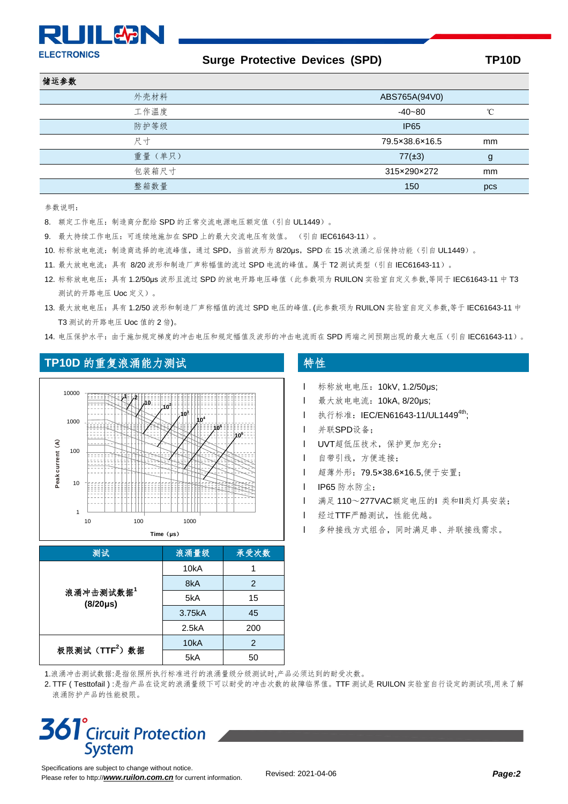# **SUIL&L**

**ELECTRONICS** 

**CK** 

## **Surge Protective Devices (SPD) TP10D**

| 储运参数   |                |     |  |
|--------|----------------|-----|--|
| 外壳材料   | ABS765A(94V0)  |     |  |
| 工作温度   | $-40 - 80$     | ∽   |  |
| 防护等级   | <b>IP65</b>    |     |  |
| 尺寸     | 79.5×38.6×16.5 | mm  |  |
| 重量(单只) | $77(\pm 3)$    | g   |  |
| 包装箱尺寸  | 315×290×272    | mm  |  |
| 整箱数量   | 150            | pcs |  |

参数说明:

- 8. 额定工作电压:制造商分配给 SPD 的正常交流电源电压额定值(引自 UL1449)。
- 9. 最大持续工作电压:可连续地施加在 SPD 上的最大交流电压有效值。 (引自 IEC61643-11)。
- 10. 标称放电电流:制造商选择的电流峰值,通过 SPD,当前波形为 8/20μs,SPD 在 15 次浪涌之后保持功能(引自 UL1449)。
- 11. 最大放电电流: 具有 8/20 波形和制造厂声称幅值的流过 SPD 电流的峰值。属于 T2 测试类型(引自 IEC61643-11)。
- 12. 标称放电电压: 具有 1.2/50us 波形且流过 SPD 的放电开路电压峰值(此参数项为 RUILON 实验室自定义参数,等同于 IEC61643-11 中 T3 测试的开路电压 Uoc 定义)。
- 13. 最大放电电压:具有 1.2/50 波形和制造厂声称幅值的流过 SPD 电压的峰值. (此参数项为 RUILON 实验室自定义参数,等于 IEC61643-11 中 T3 测试的开路电压 Uoc 值的 2 倍)。
- 14. 电压保护水平: 由于施加规定梯度的冲击电压和规定幅值及波形的冲击电流而在 SPD 两端之间预期出现的最大电压(引自 IEC61643-11)。



| 测试                         | 浪涌量级              | 承受次数          |  |  |
|----------------------------|-------------------|---------------|--|--|
| 浪涌冲击测试数据1<br>$(8/20\mu s)$ | 10kA              | 1             |  |  |
|                            | 8kA               | $\mathcal{P}$ |  |  |
|                            | 5kA               | 15            |  |  |
|                            | 3.75kA            | 45            |  |  |
|                            | 2.5kA             | 200           |  |  |
| 极限测试(TTF2)数据               | 10 <sub>k</sub> A | 2             |  |  |
|                            | 5kA               | 50            |  |  |

### 1.浪涌冲击测试数据:是指依照所执行标准进行的浪涌量级分级测试时,产品必须达到的耐受次数。

2. TTF ( Testtofail ) :是指产品在设定的浪涌量级下可以耐受的冲击次数的故障临界值。TTF 测试是 RUILON 实验室自行设定的测试项,用来了解 浪涌防护产品的性能极限。

# **361**<sup>°</sup>Circuit Protection **System**

Specifications are subject to change without notice. Please refer to http://[www.ruilon.com.cn](http://www.ruilon.com.cn) for current information.

- l 标称放电电压:10kV, 1.2/50μs;
- l 最大放电电流:10kA, 8/20μs;
- l 执行标准: IEC/EN61643-11/UL1449<sup>4th</sup>;
- l 并联SPD设备;
- l UVT超低压技术,保护更加充分;
- l 自带引线,方便连接;
- l 超薄外形:79.5×38.6×16.5,便于安置;
- **l** IP65 防水防尘;
- **l** 满足 110~277VAC额定电压的I 类和II类灯具安装;
- l 经过TTF严酷测试,性能优越。
- l 多种接线方式组合,同时满足串、并联接线需求。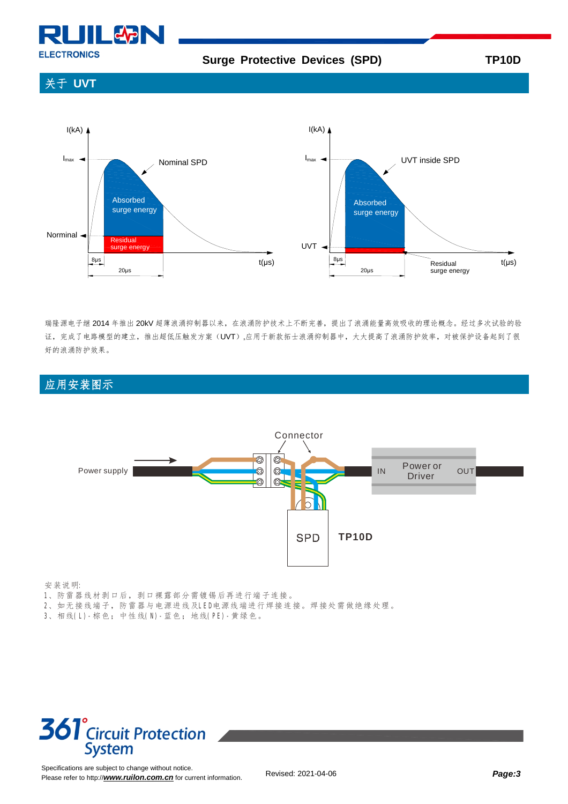

**Surge Protective Devices (SPD) TP10D** 

## **关于 UVT**



瑞隆源电子继 2014 年推出 20kV 超薄浪涌抑制器以来,在浪涌防护技术上不断完善,提出了浪涌能量高效吸收的理论概念。经过多次试验的验 证,完成了电路模型的建立,推出超低压触发方案(UVT),应用于新款拓士浪涌抑制器中,大大提高了浪涌防护效率,对被保护设备起到了很 好的浪涌防护效果。

## **应用安装图示**



#### 安装说明:

- 1、防雷器线材剥口后,剥口裸露部分需镀锡后再进行端子连接。
- 2. 如无接线端子,防雷器与电源进线及LED电源线端进行焊接连接。焊接处需做绝缘处理。
- 3. 相线(L)-棕色;中性线(N)-蓝色;地线(PE)-黄绿色。